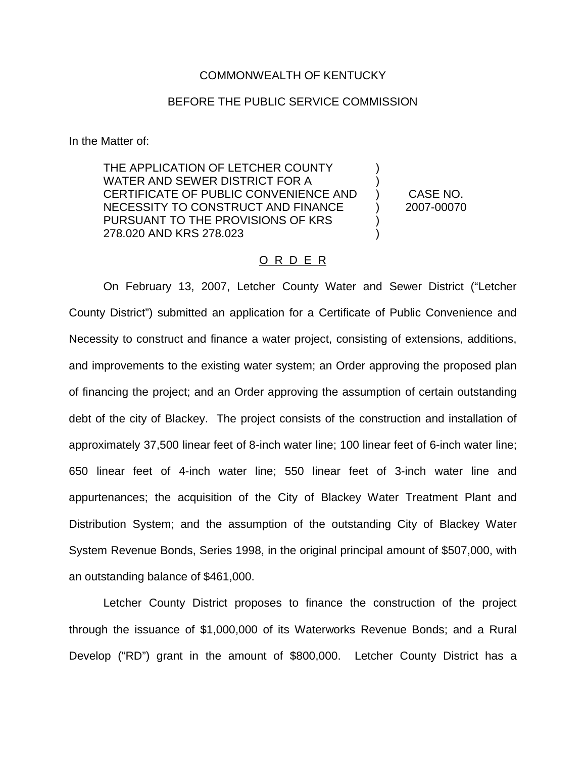## COMMONWEALTH OF KENTUCKY

## BEFORE THE PUBLIC SERVICE COMMISSION

In the Matter of:

THE APPLICATION OF LETCHER COUNTY WATER AND SEWER DISTRICT FOR A CERTIFICATE OF PUBLIC CONVENIENCE AND NECESSITY TO CONSTRUCT AND FINANCE PURSUANT TO THE PROVISIONS OF KRS 278.020 AND KRS 278.023 ) ) ) ) ) ) CASE NO. 2007-00070

## O R D E R

On February 13, 2007, Letcher County Water and Sewer District ("Letcher County District") submitted an application for a Certificate of Public Convenience and Necessity to construct and finance a water project, consisting of extensions, additions, and improvements to the existing water system; an Order approving the proposed plan of financing the project; and an Order approving the assumption of certain outstanding debt of the city of Blackey. The project consists of the construction and installation of approximately 37,500 linear feet of 8-inch water line; 100 linear feet of 6-inch water line; 650 linear feet of 4-inch water line; 550 linear feet of 3-inch water line and appurtenances; the acquisition of the City of Blackey Water Treatment Plant and Distribution System; and the assumption of the outstanding City of Blackey Water System Revenue Bonds, Series 1998, in the original principal amount of \$507,000, with an outstanding balance of \$461,000.

Letcher County District proposes to finance the construction of the project through the issuance of \$1,000,000 of its Waterworks Revenue Bonds; and a Rural Develop ("RD") grant in the amount of \$800,000. Letcher County District has a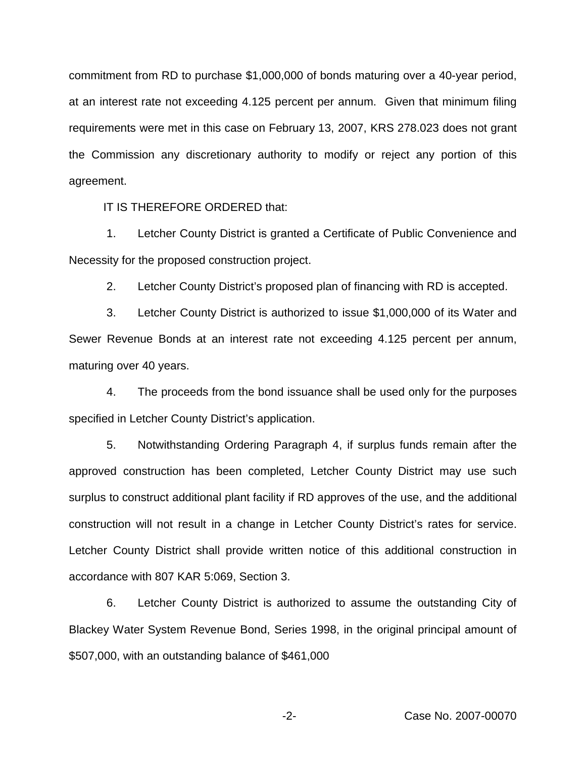commitment from RD to purchase \$1,000,000 of bonds maturing over a 40-year period, at an interest rate not exceeding 4.125 percent per annum. Given that minimum filing requirements were met in this case on February 13, 2007, KRS 278.023 does not grant the Commission any discretionary authority to modify or reject any portion of this agreement.

IT IS THEREFORE ORDERED that:

1. Letcher County District is granted a Certificate of Public Convenience and Necessity for the proposed construction project.

2. Letcher County District's proposed plan of financing with RD is accepted.

3. Letcher County District is authorized to issue \$1,000,000 of its Water and Sewer Revenue Bonds at an interest rate not exceeding 4.125 percent per annum, maturing over 40 years.

4. The proceeds from the bond issuance shall be used only for the purposes specified in Letcher County District's application.

5. Notwithstanding Ordering Paragraph 4, if surplus funds remain after the approved construction has been completed, Letcher County District may use such surplus to construct additional plant facility if RD approves of the use, and the additional construction will not result in a change in Letcher County District's rates for service. Letcher County District shall provide written notice of this additional construction in accordance with 807 KAR 5:069, Section 3.

6. Letcher County District is authorized to assume the outstanding City of Blackey Water System Revenue Bond, Series 1998, in the original principal amount of \$507,000, with an outstanding balance of \$461,000

-2- Case No. 2007-00070